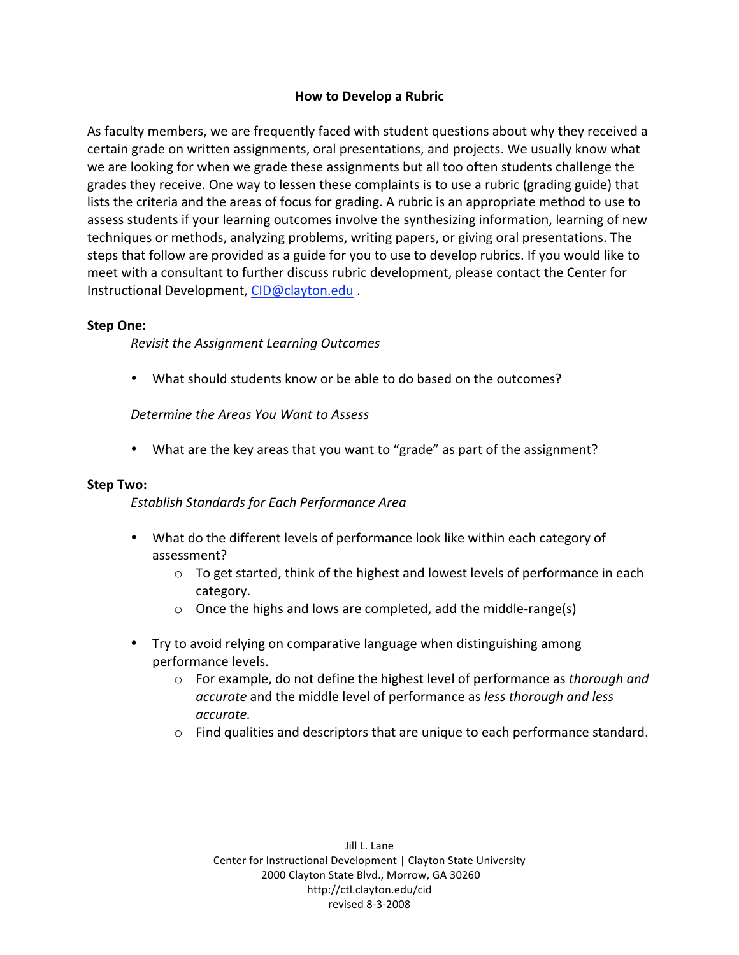# **How to Develop a Rubric**

As faculty members, we are frequently faced with student questions about why they received a certain
grade
on
written
assignments,
oral
presentations,
and
projects.
We
usually
know
what we are looking for when we grade these assignments but all too often students challenge the grades they receive. One way to lessen these complaints is to use a rubric (grading guide) that lists the criteria and the areas of focus for grading. A rubric is an appropriate method to use to assess students if your learning outcomes involve the synthesizing information, learning of new techniques
or
methods,
analyzing
problems,
writing
papers,
or
giving
oral
presentations.
The steps that follow are provided as a guide for you to use to develop rubrics. If you would like to meet
with
a
consultant
to
further
discuss
rubric
development,
please
contact
the
Center
for Instructional
Development,
CID@clayton.edu .

## **Step One:**

*Revisit the Assignment Learning Outcomes*

• What should students know or be able to do based on the outcomes?

*Determine the Areas You Want to Assess*

• What are the key areas that you want to "grade" as part of the assignment?

#### **Step Two:**

*Establish Standards for Each Performance Area*

- What do the different levels of performance look like within each category of assessment?
	- $\circ$  To get started, think of the highest and lowest levels of performance in each category.
	- Once the highs and lows are completed, add the middle-range(s)
- Try to avoid relying on comparative language when distinguishing among performance
levels.
	- o For
	example,
	do
	not
	define
	the
	highest
	level
	of
	performance
	as *thorough and accurate* and
	the
	middle
	level
	of
	performance
	as *less thorough and less accurate.*
	- o Find
	qualities
	and
	descriptors
	that
	are
	unique
	to
	each
	performance
	standard.